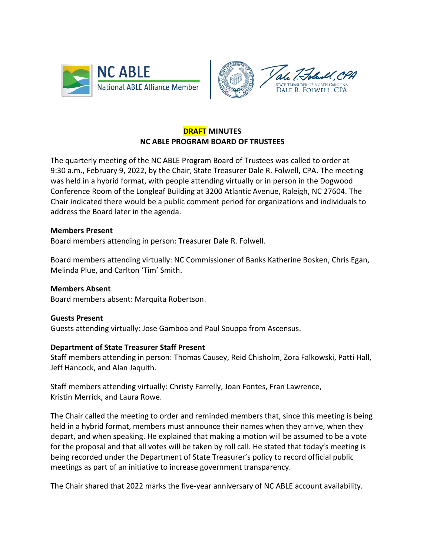



# **DRAFT MINUTES NC ABLE PROGRAM BOARD OF TRUSTEES**

The quarterly meeting of the NC ABLE Program Board of Trustees was called to order at 9:30 a.m., February 9, 2022, by the Chair, State Treasurer Dale R. Folwell, CPA. The meeting was held in a hybrid format, with people attending virtually or in person in the Dogwood Conference Room of the Longleaf Building at 3200 Atlantic Avenue, Raleigh, NC 27604. The Chair indicated there would be a public comment period for organizations and individuals to address the Board later in the agenda.

## **Members Present**

Board members attending in person: Treasurer Dale R. Folwell.

Board members attending virtually: NC Commissioner of Banks Katherine Bosken, Chris Egan, Melinda Plue, and Carlton 'Tim' Smith.

### **Members Absent**

Board members absent: Marquita Robertson.

### **Guests Present**

Guests attending virtually: Jose Gamboa and Paul Souppa from Ascensus.

### **Department of State Treasurer Staff Present**

Staff members attending in person: Thomas Causey, Reid Chisholm, Zora Falkowski, Patti Hall, Jeff Hancock, and Alan Jaquith.

Staff members attending virtually: Christy Farrelly, Joan Fontes, Fran Lawrence, Kristin Merrick, and Laura Rowe.

The Chair called the meeting to order and reminded members that, since this meeting is being held in a hybrid format, members must announce their names when they arrive, when they depart, and when speaking. He explained that making a motion will be assumed to be a vote for the proposal and that all votes will be taken by roll call. He stated that today's meeting is being recorded under the Department of State Treasurer's policy to record official public meetings as part of an initiative to increase government transparency.

The Chair shared that 2022 marks the five-year anniversary of NC ABLE account availability.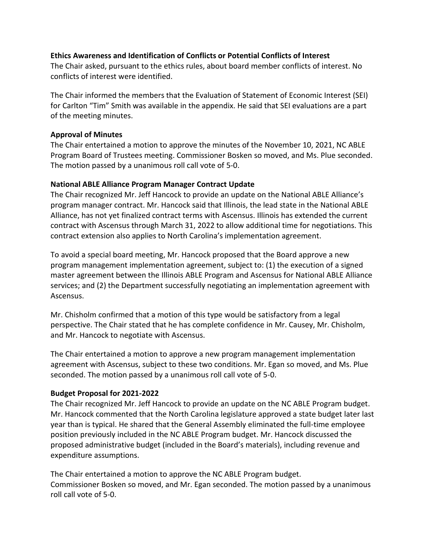## **Ethics Awareness and Identification of Conflicts or Potential Conflicts of Interest**

The Chair asked, pursuant to the ethics rules, about board member conflicts of interest. No conflicts of interest were identified.

The Chair informed the members that the Evaluation of Statement of Economic Interest (SEI) for Carlton "Tim" Smith was available in the appendix. He said that SEI evaluations are a part of the meeting minutes.

## **Approval of Minutes**

The Chair entertained a motion to approve the minutes of the November 10, 2021, NC ABLE Program Board of Trustees meeting. Commissioner Bosken so moved, and Ms. Plue seconded. The motion passed by a unanimous roll call vote of 5-0.

## **National ABLE Alliance Program Manager Contract Update**

The Chair recognized Mr. Jeff Hancock to provide an update on the National ABLE Alliance's program manager contract. Mr. Hancock said that Illinois, the lead state in the National ABLE Alliance, has not yet finalized contract terms with Ascensus. Illinois has extended the current contract with Ascensus through March 31, 2022 to allow additional time for negotiations. This contract extension also applies to North Carolina's implementation agreement.

To avoid a special board meeting, Mr. Hancock proposed that the Board approve a new program management implementation agreement, subject to: (1) the execution of a signed master agreement between the Illinois ABLE Program and Ascensus for National ABLE Alliance services; and (2) the Department successfully negotiating an implementation agreement with Ascensus.

Mr. Chisholm confirmed that a motion of this type would be satisfactory from a legal perspective. The Chair stated that he has complete confidence in Mr. Causey, Mr. Chisholm, and Mr. Hancock to negotiate with Ascensus.

The Chair entertained a motion to approve a new program management implementation agreement with Ascensus, subject to these two conditions. Mr. Egan so moved, and Ms. Plue seconded. The motion passed by a unanimous roll call vote of 5-0.

# **Budget Proposal for 2021-2022**

The Chair recognized Mr. Jeff Hancock to provide an update on the NC ABLE Program budget. Mr. Hancock commented that the North Carolina legislature approved a state budget later last year than is typical. He shared that the General Assembly eliminated the full-time employee position previously included in the NC ABLE Program budget. Mr. Hancock discussed the proposed administrative budget (included in the Board's materials), including revenue and expenditure assumptions.

The Chair entertained a motion to approve the NC ABLE Program budget. Commissioner Bosken so moved, and Mr. Egan seconded. The motion passed by a unanimous roll call vote of 5-0.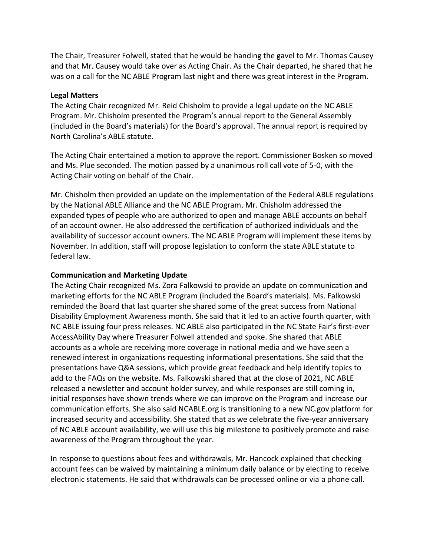The Chair, Treasurer Folwell, stated that he would be handing the gavel to Mr. Thomas Causey and that Mr. Causey would take over as Acting Chair. As the Chair departed, he shared that he was on a call for the NC ABLE Program last night and there was great interest in the Program.

## **Legal Matters**

The Acting Chair recognized Mr. Reid Chisholm to provide a legal update on the NC ABLE Program. Mr. Chisholm presented the Program's annual report to the General Assembly (included in the Board's materials) for the Board's approval. The annual report is required by North Carolina's ABLE statute.

The Acting Chair entertained a motion to approve the report. Commissioner Bosken so moved and Ms. Plue seconded. The motion passed by a unanimous roll call vote of 5-0, with the Acting Chair voting on behalf of the Chair.

Mr. Chisholm then provided an update on the implementation of the Federal ABLE regulations by the National ABLE Alliance and the NC ABLE Program. Mr. Chisholm addressed the expanded types of people who are authorized to open and manage ABLE accounts on behalf of an account owner. He also addressed the certification of authorized individuals and the availability of successor account owners. The NC ABLE Program will implement these items by November. In addition, staff will propose legislation to conform the state ABLE statute to federal law.

## **Communication and Marketing Update**

The Acting Chair recognized Ms. Zora Falkowski to provide an update on communication and marketing efforts for the NC ABLE Program (included the Board's materials). Ms. Falkowski reminded the Board that last quarter she shared some of the great success from National Disability Employment Awareness month. She said that it led to an active fourth quarter, with NC ABLE issuing four press releases. NC ABLE also participated in the NC State Fair's first-ever AccessAbility Day where Treasurer Folwell attended and spoke. She shared that ABLE accounts as a whole are receiving more coverage in national media and we have seen a renewed interest in organizations requesting informational presentations. She said that the presentations have Q&A sessions, which provide great feedback and help identify topics to add to the FAQs on the website. Ms. Falkowski shared that at the close of 2021, NC ABLE released a newsletter and account holder survey, and while responses are still coming in, initial responses have shown trends where we can improve on the Program and increase our communication efforts. She also said NCABLE.org is transitioning to a new NC.gov platform for increased security and accessibility. She stated that as we celebrate the five-year anniversary of NC ABLE account availability, we will use this big milestone to positively promote and raise awareness of the Program throughout the year.

In response to questions about fees and withdrawals, Mr. Hancock explained that checking account fees can be waived by maintaining a minimum daily balance or by electing to receive electronic statements. He said that withdrawals can be processed online or via a phone call.